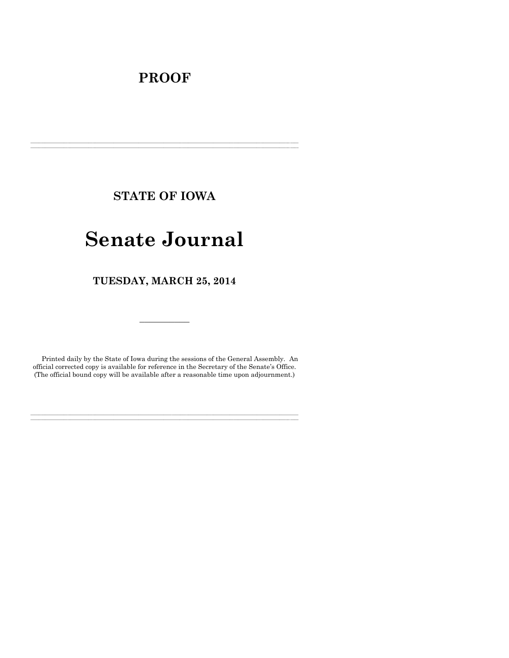## **PROOF**

**STATE OF IOWA**

**\_\_\_\_\_\_\_\_\_\_\_\_\_\_\_\_\_\_\_\_\_\_\_\_\_\_\_\_\_\_\_\_\_\_\_\_\_\_\_\_\_\_\_\_\_\_\_\_\_\_\_\_\_\_\_\_\_\_\_\_\_\_\_\_\_\_\_\_\_\_\_\_\_\_\_\_\_\_\_\_\_\_\_\_\_\_\_\_\_\_\_\_\_\_\_\_\_\_\_\_\_\_\_\_\_\_\_\_\_\_\_\_\_\_\_\_\_\_\_\_\_\_\_\_\_\_\_\_\_ \_\_\_\_\_\_\_\_\_\_\_\_\_\_\_\_\_\_\_\_\_\_\_\_\_\_\_\_\_\_\_\_\_\_\_\_\_\_\_\_\_\_\_\_\_\_\_\_\_\_\_\_\_\_\_\_\_\_\_\_\_\_\_\_\_\_\_\_\_\_\_\_\_\_\_\_\_\_\_\_\_\_\_\_\_\_\_\_\_\_\_\_\_\_\_\_\_\_\_\_\_\_\_\_\_\_\_\_\_\_\_\_\_\_\_\_\_\_\_\_\_\_\_\_\_\_\_\_\_**

# **Senate Journal**

**TUESDAY, MARCH 25, 2014**

Printed daily by the State of Iowa during the sessions of the General Assembly. An official corrected copy is available for reference in the Secretary of the Senate's Office. (The official bound copy will be available after a reasonable time upon adjournment.)

**\_\_\_\_\_\_\_\_\_\_\_\_\_\_\_\_\_\_\_\_\_\_\_\_\_\_\_\_\_\_\_\_\_\_\_\_\_\_\_\_\_\_\_\_\_\_\_\_\_\_\_\_\_\_\_\_\_\_\_\_\_\_\_\_\_\_\_\_\_\_\_\_\_\_\_\_\_\_\_\_\_\_\_\_\_\_\_\_\_\_\_\_\_\_\_\_\_\_\_\_\_\_\_\_\_\_\_\_\_\_\_\_\_\_\_\_\_\_\_\_\_\_\_\_\_\_\_\_\_ \_\_\_\_\_\_\_\_\_\_\_\_\_\_\_\_\_\_\_\_\_\_\_\_\_\_\_\_\_\_\_\_\_\_\_\_\_\_\_\_\_\_\_\_\_\_\_\_\_\_\_\_\_\_\_\_\_\_\_\_\_\_\_\_\_\_\_\_\_\_\_\_\_\_\_\_\_\_\_\_\_\_\_\_\_\_\_\_\_\_\_\_\_\_\_\_\_\_\_\_\_\_\_\_\_\_\_\_\_\_\_\_\_\_\_\_\_\_\_\_\_\_\_\_\_\_\_\_\_**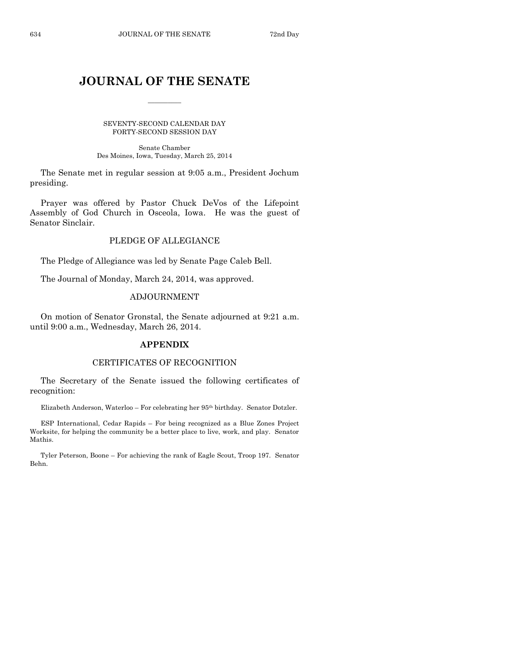### **JOURNAL OF THE SENATE**

 $\frac{1}{2}$ 

SEVENTY-SECOND CALENDAR DAY FORTY-SECOND SESSION DAY

Senate Chamber Des Moines, Iowa, Tuesday, March 25, 2014

The Senate met in regular session at 9:05 a.m., President Jochum presiding.

Prayer was offered by Pastor Chuck DeVos of the Lifepoint Assembly of God Church in Osceola, Iowa. He was the guest of Senator Sinclair.

#### PLEDGE OF ALLEGIANCE

The Pledge of Allegiance was led by Senate Page Caleb Bell.

The Journal of Monday, March 24, 2014, was approved.

#### ADJOURNMENT

On motion of Senator Gronstal, the Senate adjourned at 9:21 a.m. until 9:00 a.m., Wednesday, March 26, 2014.

#### **APPENDIX**

#### CERTIFICATES OF RECOGNITION

The Secretary of the Senate issued the following certificates of recognition:

Elizabeth Anderson, Waterloo – For celebrating her 95th birthday. Senator Dotzler.

ESP International, Cedar Rapids – For being recognized as a Blue Zones Project Worksite, for helping the community be a better place to live, work, and play. Senator Mathis.

Tyler Peterson, Boone – For achieving the rank of Eagle Scout, Troop 197. Senator Behn.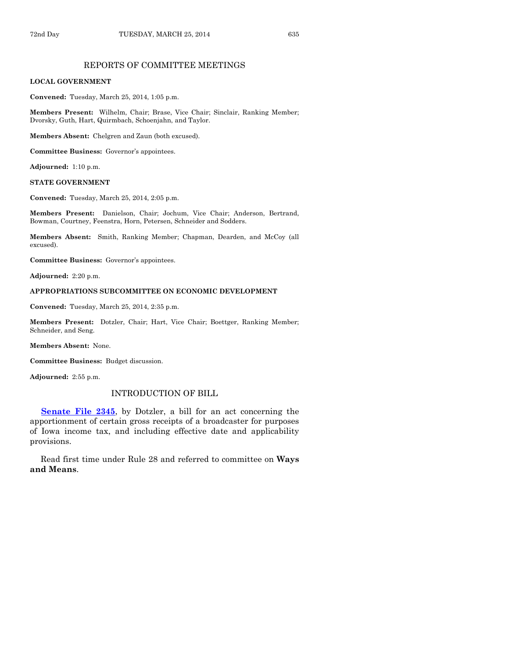#### REPORTS OF COMMITTEE MEETINGS

#### **LOCAL GOVERNMENT**

**Convened:** Tuesday, March 25, 2014, 1:05 p.m.

**Members Present:** Wilhelm, Chair; Brase, Vice Chair; Sinclair, Ranking Member; Dvorsky, Guth, Hart, Quirmbach, Schoenjahn, and Taylor.

**Members Absent:** Chelgren and Zaun (both excused).

**Committee Business:** Governor's appointees.

**Adjourned:** 1:10 p.m.

#### **STATE GOVERNMENT**

**Convened:** Tuesday, March 25, 2014, 2:05 p.m.

**Members Present:** Danielson, Chair; Jochum, Vice Chair; Anderson, Bertrand, Bowman, Courtney, Feenstra, Horn, Petersen, Schneider and Sodders.

**Members Absent:** Smith, Ranking Member; Chapman, Dearden, and McCoy (all excused).

**Committee Business:** Governor's appointees.

**Adjourned:** 2:20 p.m.

#### **APPROPRIATIONS SUBCOMMITTEE ON ECONOMIC DEVELOPMENT**

**Convened:** Tuesday, March 25, 2014, 2:35 p.m.

**Members Present:** Dotzler, Chair; Hart, Vice Chair; Boettger, Ranking Member; Schneider, and Seng.

**Members Absent:** None.

**Committee Business:** Budget discussion.

**Adjourned:** 2:55 p.m.

#### INTRODUCTION OF BILL

**[Senate File 2345](http://coolice.legis.iowa.gov/Cool-ICE/default.asp?Category=billinfo&Service=Billbook&frame=1&GA=85&hbill=SF2345)**, by Dotzler, a bill for an act concerning the apportionment of certain gross receipts of a broadcaster for purposes of Iowa income tax, and including effective date and applicability provisions.

Read first time under Rule 28 and referred to committee on **Ways and Means**.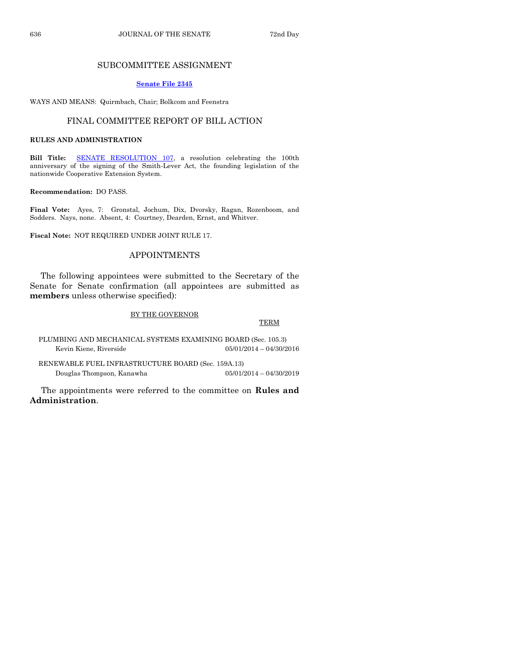#### SUBCOMMITTEE ASSIGNMENT

#### **[Senate File 2345](http://coolice.legis.iowa.gov/Cool-ICE/default.asp?Category=billinfo&Service=Billbook&frame=1&GA=85&hbill=SF2345)**

WAYS AND MEANS: Quirmbach, Chair; Bolkcom and Feenstra

#### FINAL COMMITTEE REPORT OF BILL ACTION

#### **RULES AND ADMINISTRATION**

**Bill Title:** [SENATE RESOLUTION 107,](http://coolice.legis.iowa.gov/Cool-ICE/default.asp?Category=billinfo&Service=Billbook&frame=1&GA=85&hbill=SR107) a resolution celebrating the 100th anniversary of the signing of the Smith-Lever Act, the founding legislation of the nationwide Cooperative Extension System.

#### **Recommendation:** DO PASS.

**Final Vote:** Ayes, 7: Gronstal, Jochum, Dix, Dvorsky, Ragan, Rozenboom, and Sodders. Nays, none. Absent, 4: Courtney, Dearden, Ernst, and Whitver.

**Fiscal Note:** NOT REQUIRED UNDER JOINT RULE 17.

#### APPOINTMENTS

The following appointees were submitted to the Secretary of the Senate for Senate confirmation (all appointees are submitted as **members** unless otherwise specified):

#### BY THE GOVERNOR

#### TERM

PLUMBING AND MECHANICAL SYSTEMS EXAMINING BOARD (Sec. 105.3) Kevin Kiene, Riverside 05/01/2014 – 04/30/2016

RENEWABLE FUEL INFRASTRUCTURE BOARD (Sec. 159A.13) Douglas Thompson, Kanawha 05/01/2014 – 04/30/2019

The appointments were referred to the committee on **Rules and Administration**.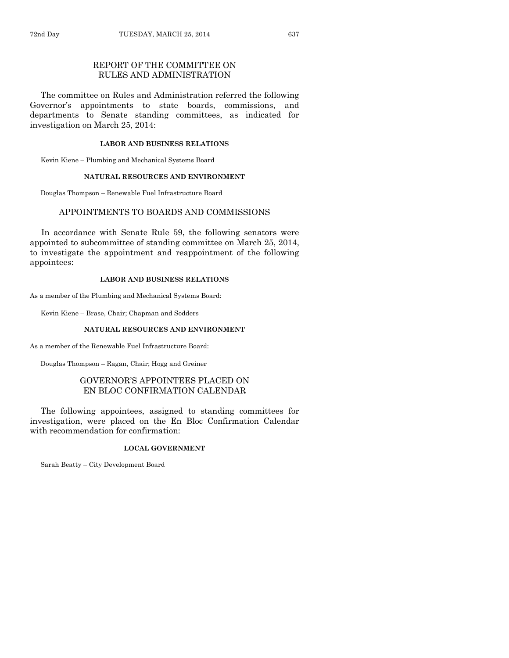#### REPORT OF THE COMMITTEE ON RULES AND ADMINISTRATION

The committee on Rules and Administration referred the following Governor's appointments to state boards, commissions, and departments to Senate standing committees, as indicated for investigation on March 25, 2014:

#### **LABOR AND BUSINESS RELATIONS**

Kevin Kiene – Plumbing and Mechanical Systems Board

#### **NATURAL RESOURCES AND ENVIRONMENT**

Douglas Thompson – Renewable Fuel Infrastructure Board

#### APPOINTMENTS TO BOARDS AND COMMISSIONS

In accordance with Senate Rule 59, the following senators were appointed to subcommittee of standing committee on March 25, 2014, to investigate the appointment and reappointment of the following appointees:

#### **LABOR AND BUSINESS RELATIONS**

As a member of the Plumbing and Mechanical Systems Board:

Kevin Kiene – Brase, Chair; Chapman and Sodders

#### **NATURAL RESOURCES AND ENVIRONMENT**

As a member of the Renewable Fuel Infrastructure Board:

Douglas Thompson – Ragan, Chair; Hogg and Greiner

#### GOVERNOR'S APPOINTEES PLACED ON EN BLOC CONFIRMATION CALENDAR

The following appointees, assigned to standing committees for investigation, were placed on the En Bloc Confirmation Calendar with recommendation for confirmation:

#### **LOCAL GOVERNMENT**

Sarah Beatty – City Development Board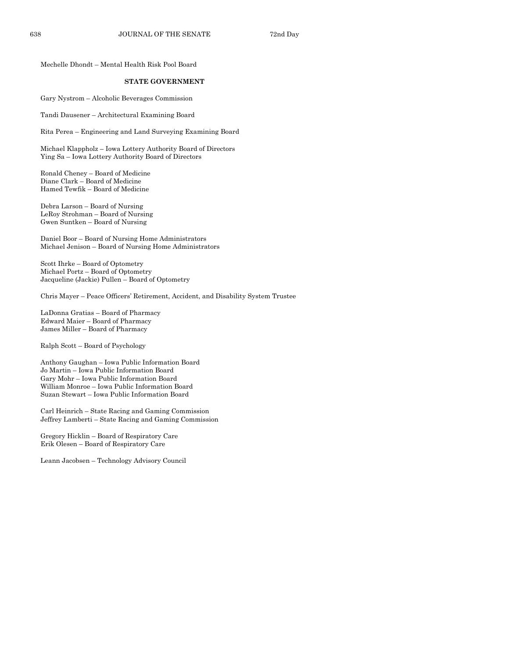Mechelle Dhondt – Mental Health Risk Pool Board

#### **STATE GOVERNMENT**

Gary Nystrom – Alcoholic Beverages Commission

Tandi Dausener – Architectural Examining Board

Rita Perea – Engineering and Land Surveying Examining Board

Michael Klappholz – Iowa Lottery Authority Board of Directors Ying Sa – Iowa Lottery Authority Board of Directors

Ronald Cheney – Board of Medicine Diane Clark – Board of Medicine Hamed Tewfik – Board of Medicine

Debra Larson – Board of Nursing LeRoy Strohman – Board of Nursing Gwen Suntken – Board of Nursing

Daniel Boor – Board of Nursing Home Administrators Michael Jenison – Board of Nursing Home Administrators

Scott Ihrke – Board of Optometry Michael Portz – Board of Optometry Jacqueline (Jackie) Pullen – Board of Optometry

Chris Mayer – Peace Officers' Retirement, Accident, and Disability System Trustee

LaDonna Gratias – Board of Pharmacy Edward Maier – Board of Pharmacy James Miller – Board of Pharmacy

Ralph Scott – Board of Psychology

Anthony Gaughan – Iowa Public Information Board Jo Martin – Iowa Public Information Board Gary Mohr – Iowa Public Information Board William Monroe – Iowa Public Information Board Suzan Stewart – Iowa Public Information Board

Carl Heinrich – State Racing and Gaming Commission Jeffrey Lamberti – State Racing and Gaming Commission

Gregory Hicklin – Board of Respiratory Care Erik Olesen – Board of Respiratory Care

Leann Jacobsen – Technology Advisory Council